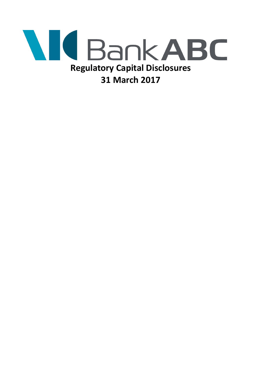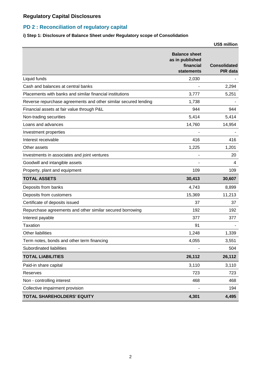### **PD 2 : Reconciliation of regulatory capital**

#### **i) Step 1: Disclosure of Balance Sheet under Regulatory scope of Consolidation**

|                                                                 |                                                                    | <b>US\$ million</b>                    |
|-----------------------------------------------------------------|--------------------------------------------------------------------|----------------------------------------|
|                                                                 | <b>Balance sheet</b><br>as in published<br>financial<br>statements | <b>Consolidated</b><br><b>PIR data</b> |
| Liquid funds                                                    | 2,030                                                              |                                        |
| Cash and balances at central banks                              |                                                                    | 2,294                                  |
| Placements with banks and similar financial institutions        | 3,777                                                              | 5,251                                  |
| Reverse repurchase agreements and other similar secured lending | 1,738                                                              |                                        |
| Financial assets at fair value through P&L                      | 944                                                                | 944                                    |
| Non-trading securities                                          | 5,414                                                              | 5,414                                  |
| Loans and advances                                              | 14,760                                                             | 14,954                                 |
| Investment properties                                           |                                                                    |                                        |
| Interest receivable                                             | 416                                                                | 416                                    |
| Other assets                                                    | 1,225                                                              | 1,201                                  |
| Investments in associates and joint ventures                    |                                                                    | 20                                     |
| Goodwill and intangible assets                                  |                                                                    | 4                                      |
| Property, plant and equipment                                   | 109                                                                | 109                                    |
| <b>TOTAL ASSETS</b>                                             | 30,413                                                             | 30,607                                 |
| Deposits from banks                                             | 4,743                                                              | 8,899                                  |
| Deposits from customers                                         | 15,369                                                             | 11,213                                 |
| Certificate of deposits issued                                  | 37                                                                 | 37                                     |
| Repurchase agreements and other similar secured borrowing       | 192                                                                | 192                                    |
| Interest payable                                                | 377                                                                | 377                                    |
| <b>Taxation</b>                                                 | 91                                                                 |                                        |
| <b>Other liabilities</b>                                        | 1,248                                                              | 1,339                                  |
| Term notes, bonds and other term financing                      | 4,055                                                              | 3,551                                  |
| Subordinated liabilities                                        |                                                                    | 504                                    |
| <b>TOTAL LIABILITIES</b>                                        | 26,112                                                             | 26,112                                 |
| Paid-in share capital                                           | 3,110                                                              | 3,110                                  |
| Reserves                                                        | 723                                                                | 723                                    |
| Non - controlling interest                                      | 468                                                                | 468                                    |
| Collective impairment provision                                 |                                                                    | 194                                    |
| <b>TOTAL SHAREHOLDERS' EQUITY</b>                               | 4,301                                                              | 4,495                                  |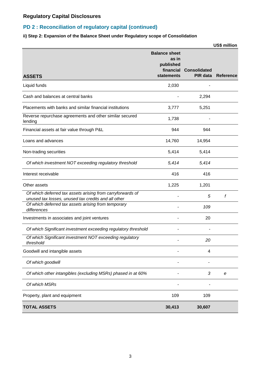### **PD 2 : Reconciliation of regulatory capital (continued)**

#### **ii) Step 2: Expansion of the Balance Sheet under Regulatory scope of Consolidation**

|                                                                                                                   |                                                                              |                                 | <b>US\$ million</b> |
|-------------------------------------------------------------------------------------------------------------------|------------------------------------------------------------------------------|---------------------------------|---------------------|
| <b>ASSETS</b>                                                                                                     | <b>Balance sheet</b><br>as in<br>published<br>financial<br><b>statements</b> | <b>Consolidated</b><br>PIR data | <b>Reference</b>    |
| Liquid funds                                                                                                      | 2,030                                                                        |                                 |                     |
| Cash and balances at central banks                                                                                |                                                                              | 2,294                           |                     |
| Placements with banks and similar financial institutions                                                          | 3,777                                                                        | 5,251                           |                     |
| Reverse repurchase agreements and other similar secured<br>lending                                                | 1,738                                                                        |                                 |                     |
| Financial assets at fair value through P&L                                                                        | 944                                                                          | 944                             |                     |
| Loans and advances                                                                                                | 14,760                                                                       | 14,954                          |                     |
| Non-trading securities                                                                                            | 5,414                                                                        | 5,414                           |                     |
| Of which investment NOT exceeding regulatory threshold                                                            | 5,414                                                                        | 5,414                           |                     |
| Interest receivable                                                                                               | 416                                                                          | 416                             |                     |
| Other assets                                                                                                      | 1,225                                                                        | 1,201                           |                     |
| Of which deferred tax assets arising from carryforwards of<br>unused tax losses, unused tax credits and all other |                                                                              | 5                               | f                   |
| Of which deferred tax assets arising from temporary<br>differences                                                |                                                                              | 109                             |                     |
| Investments in associates and joint ventures                                                                      |                                                                              | 20                              |                     |
| Of which Significant investment exceeding regulatory threshold                                                    |                                                                              |                                 |                     |
| Of which Significant investment NOT exceeding regulatory<br>threshold                                             |                                                                              | 20                              |                     |
| Goodwill and intangible assets                                                                                    |                                                                              | 4                               |                     |
| Of which goodwill                                                                                                 |                                                                              |                                 |                     |
| Of which other intangibles (excluding MSRs) phased in at 60%                                                      |                                                                              | 3                               | e                   |
| Of which MSRs                                                                                                     |                                                                              |                                 |                     |
| Property, plant and equipment                                                                                     | 109                                                                          | 109                             |                     |
| <b>TOTAL ASSETS</b>                                                                                               | 30,413                                                                       | 30,607                          |                     |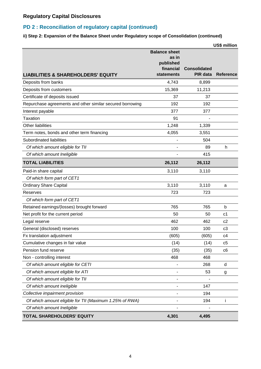### **PD 2 : Reconciliation of regulatory capital (continued)**

#### **ii) Step 2: Expansion of the Balance Sheet under Regulatory scope of Consolidation (continued)**

|                                                           |                                                         |                     | US\$ million     |
|-----------------------------------------------------------|---------------------------------------------------------|---------------------|------------------|
|                                                           | <b>Balance sheet</b><br>as in<br>published<br>financial | <b>Consolidated</b> |                  |
| <b>LIABILITIES &amp; SHAREHOLDERS' EQUITY</b>             | statements                                              | PIR data            | <b>Reference</b> |
| Deposits from banks                                       | 4,743                                                   | 8,899               |                  |
| Deposits from customers                                   | 15,369                                                  | 11,213              |                  |
| Certificate of deposits issued                            | 37                                                      | 37                  |                  |
| Repurchase agreements and other similar secured borrowing | 192                                                     | 192                 |                  |
| Interest payable                                          | 377                                                     | 377                 |                  |
| <b>Taxation</b>                                           | 91                                                      |                     |                  |
| Other liabilities                                         | 1,248                                                   | 1,339               |                  |
| Term notes, bonds and other term financing                | 4,055                                                   | 3,551               |                  |
| Subordinated liabilities                                  |                                                         | 504                 |                  |
| Of which amount eligible for TII                          |                                                         | 89                  | h                |
| Of which amount Ineligible                                |                                                         | 415                 |                  |
| <b>TOTAL LIABILITIES</b>                                  | 26,112                                                  | 26,112              |                  |
| Paid-in share capital                                     | 3,110                                                   | 3,110               |                  |
| Of which form part of CET1                                |                                                         |                     |                  |
| <b>Ordinary Share Capital</b>                             | 3,110                                                   | 3,110               | a                |
| Reserves                                                  | 723                                                     | 723                 |                  |
| Of which form part of CET1                                |                                                         |                     |                  |
| Retained earnings/(losses) brought forward                | 765                                                     | 765                 | b                |
| Net profit for the current period                         | 50                                                      | 50                  | c <sub>1</sub>   |
| Legal reserve                                             | 462                                                     | 462                 | c2               |
| General (disclosed) reserves                              | 100                                                     | 100                 | c <sub>3</sub>   |
| Fx translation adjustment                                 | (605)                                                   | (605)               | c4               |
| Cumulative changes in fair value                          | (14)                                                    | (14)                | c5               |
| Pension fund reserve                                      | (35)                                                    | (35)                | c6               |
| Non - controlling interest                                | 468                                                     | 468                 |                  |
| Of which amount eligible for CETI                         |                                                         | 268                 | d                |
| Of which amount eligible for ATI                          |                                                         | 53                  | g                |
| Of which amount eligible for TII                          |                                                         |                     |                  |
| Of which amount ineligible                                |                                                         | 147                 |                  |
| Collective impairment provision                           |                                                         | 194                 |                  |
| Of which amount eligible for TII (Maximum 1.25% of RWA)   |                                                         | 194                 | i                |
| Of which amount Ineligible                                |                                                         |                     |                  |
| TOTAL SHAREHOLDERS' EQUITY                                | 4,301                                                   | 4,495               |                  |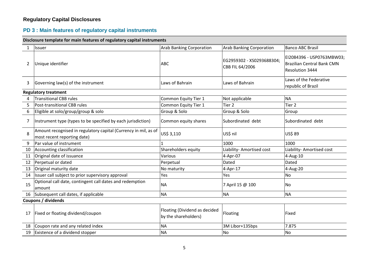#### **PD 3 : Main features of regulatory capital instruments**

**Disclosure template for main features of regulatory capital instruments**

|    | sistiosure template for main reatures or regulatory capital mstrumen                           |                                                       |                                              |                                                                                   |
|----|------------------------------------------------------------------------------------------------|-------------------------------------------------------|----------------------------------------------|-----------------------------------------------------------------------------------|
| 1  | Issuer                                                                                         | <b>Arab Banking Corporation</b>                       | <b>Arab Banking Corporation</b>              | <b>Banco ABC Brasil</b>                                                           |
| 2  | Unique identifier                                                                              | <b>ABC</b>                                            | EG2959302 - XS0293688304;<br>CBB FIL 64/2006 | EI2084396 - USP0763MBW03;<br><b>Brazilian Central Bank CMN</b><br>Resolution 3444 |
| 3  | Governing law(s) of the instrument                                                             | Laws of Bahrain                                       | Laws of Bahrain                              | Laws of the Federative<br>republic of Brazil                                      |
|    | <b>Regulatory treatment</b>                                                                    |                                                       |                                              |                                                                                   |
| 4  | <b>Transitional CBB rules</b>                                                                  | Common Equity Tier 1                                  | Not applicable                               | <b>NA</b>                                                                         |
| 5  | Post-transitional CBB rules                                                                    | Common Equity Tier 1                                  | Tier <sub>2</sub>                            | Tier <sub>2</sub>                                                                 |
| 6  | Eligible at solo/group/group & solo                                                            | Group & Solo                                          | Group & Solo                                 | Group                                                                             |
| 7  | Instrument type (types to be specified by each jurisdiction)                                   | Common equity shares                                  | Subordinated debt                            | Subordinated debt                                                                 |
| 8  | Amount recognised in regulatory capital (Currency in mil, as of<br>most recent reporting date) | US\$ 3,110                                            | US\$ nil                                     | US\$ 89                                                                           |
| 9  | Par value of instrument                                                                        |                                                       | 1000                                         | 1000                                                                              |
| 10 | Accounting classification                                                                      | Shareholders equity                                   | Liability- Amortised cost                    | Liability- Amortised cost                                                         |
| 11 | Original date of issuance                                                                      | Various                                               | 4-Apr-07                                     | 4-Aug-10                                                                          |
| 12 | Perpetual or dated                                                                             | Perpetual                                             | Dated                                        | Dated                                                                             |
| 13 | Original maturity date                                                                         | No maturity                                           | 4-Apr-17                                     | 4-Aug-20                                                                          |
| 14 | Issuer call subject to prior supervisory approval                                              | Yes                                                   | Yes                                          | No                                                                                |
| 15 | Optional call date, contingent call dates and redemption<br>amount                             | <b>NA</b>                                             | 7 April 15 @ 100                             | <b>No</b>                                                                         |
| 16 | Subsequent call dates, if applicable                                                           | <b>NA</b>                                             | <b>NA</b>                                    | <b>NA</b>                                                                         |
|    | Coupons / dividends                                                                            |                                                       |                                              |                                                                                   |
| 17 | Fixed or floating dividend/coupon                                                              | Floating (Dividend as decided<br>by the shareholders) | Floating                                     | Fixed                                                                             |
| 18 | Coupon rate and any related index                                                              | <b>NA</b>                                             | 3M Libor+135bps                              | 7.875                                                                             |
| 19 | Existence of a dividend stopper                                                                | <b>NA</b>                                             | <b>No</b>                                    | No                                                                                |
|    |                                                                                                |                                                       |                                              |                                                                                   |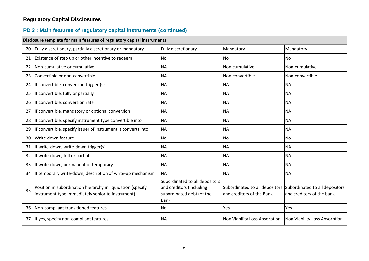# **PD 3 : Main features of regulatory capital instruments (continued)**

|    | Disclosure template for main features of regulatory capital instruments                                          |                                                                                                 |                                                                                            |                               |  |  |
|----|------------------------------------------------------------------------------------------------------------------|-------------------------------------------------------------------------------------------------|--------------------------------------------------------------------------------------------|-------------------------------|--|--|
| 20 | Fully discretionary, partially discretionary or mandatory                                                        | Fully discretionary                                                                             | Mandatory                                                                                  | Mandatory                     |  |  |
| 21 | Existence of step up or other incentive to redeem                                                                | No                                                                                              | <b>No</b>                                                                                  | <b>No</b>                     |  |  |
| 22 | Non-cumulative or cumulative                                                                                     | <b>NA</b>                                                                                       | Non-cumulative                                                                             | Non-cumulative                |  |  |
| 23 | Convertible or non-convertible                                                                                   | <b>NA</b>                                                                                       | Non-convertible                                                                            | Non-convertible               |  |  |
| 24 | If convertible, conversion trigger (s)                                                                           | <b>NA</b>                                                                                       | <b>NA</b>                                                                                  | <b>NA</b>                     |  |  |
| 25 | If convertible, fully or partially                                                                               | <b>NA</b>                                                                                       | <b>NA</b>                                                                                  | <b>NA</b>                     |  |  |
| 26 | If convertible, conversion rate                                                                                  | <b>NA</b>                                                                                       | <b>NA</b>                                                                                  | <b>NA</b>                     |  |  |
| 27 | If convertible, mandatory or optional conversion                                                                 | <b>NA</b>                                                                                       | <b>NA</b>                                                                                  | <b>NA</b>                     |  |  |
| 28 | If convertible, specify instrument type convertible into                                                         | <b>NA</b>                                                                                       | <b>NA</b>                                                                                  | <b>NA</b>                     |  |  |
| 29 | If convertible, specify issuer of instrument it converts into                                                    | <b>NA</b>                                                                                       | <b>NA</b>                                                                                  | <b>NA</b>                     |  |  |
| 30 | Write-down feature                                                                                               | <b>No</b>                                                                                       | No                                                                                         | <b>No</b>                     |  |  |
| 31 | If write-down, write-down trigger(s)                                                                             | <b>NA</b>                                                                                       | <b>NA</b>                                                                                  | <b>NA</b>                     |  |  |
| 32 | If write-down, full or partial                                                                                   | <b>NA</b>                                                                                       | <b>NA</b>                                                                                  | <b>NA</b>                     |  |  |
| 33 | If write-down, permanent or temporary                                                                            | <b>NA</b>                                                                                       | <b>NA</b>                                                                                  | <b>NA</b>                     |  |  |
| 34 | If temporary write-down, description of write-up mechanism                                                       | <b>NA</b>                                                                                       | <b>NA</b>                                                                                  | <b>NA</b>                     |  |  |
| 35 | Position in subordination hierarchy in liquidation (specify<br>instrument type immediately senior to instrument) | Subordinated to all depositors<br>and creditors (including<br>subordinated debt) of the<br>Bank | Subordinated to all depositors Subordinated to all depositors<br>and creditors of the Bank | and creditors of the bank     |  |  |
| 36 | Non-compliant transitioned features                                                                              | No                                                                                              | Yes                                                                                        | Yes                           |  |  |
| 37 | If yes, specify non-compliant features                                                                           | <b>NA</b>                                                                                       | Non Viability Loss Absorption                                                              | Non Viability Loss Absorption |  |  |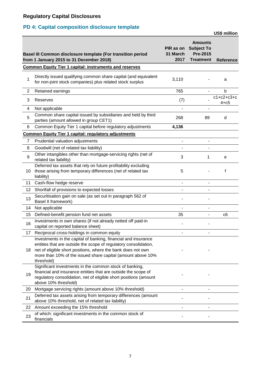## **PD 4: Capital composition disclosure template**

|                |                                                                                                                                                                                                                                                                                 |                               |                                                                            | <b>US\$ million</b>      |
|----------------|---------------------------------------------------------------------------------------------------------------------------------------------------------------------------------------------------------------------------------------------------------------------------------|-------------------------------|----------------------------------------------------------------------------|--------------------------|
|                | Basel III Common disclosure template (For transition period<br>from 1 January 2015 to 31 December 2018)                                                                                                                                                                         | PIR as on<br>31 March<br>2017 | <b>Amounts</b><br><b>Subject To</b><br><b>Pre-2015</b><br><b>Treatment</b> | <b>Reference</b>         |
|                | <b>Common Equity Tier 1 capital: instruments and reserves</b>                                                                                                                                                                                                                   |                               |                                                                            |                          |
| 1              | Directly issued qualifying common share capital (and equivalent<br>for non-joint stock companies) plus related stock surplus                                                                                                                                                    | 3,110                         |                                                                            | a                        |
| $\overline{2}$ | Retained earnings                                                                                                                                                                                                                                                               | 765                           | $\blacksquare$                                                             | b                        |
| 3              | Reserves                                                                                                                                                                                                                                                                        | (7)                           |                                                                            | $c1+c2+c3+c$<br>$4 + c5$ |
| 4              | Not applicable                                                                                                                                                                                                                                                                  |                               |                                                                            |                          |
| 5              | Common share capital issued by subsidiaries and held by third<br>parties (amount allowed in group CET1)                                                                                                                                                                         | 268                           | 89                                                                         | d                        |
| 6              | Common Equity Tier 1 capital before regulatory adjustments                                                                                                                                                                                                                      | 4,136                         |                                                                            |                          |
|                | <b>Common Equity Tier 1 capital: regulatory adjustments</b>                                                                                                                                                                                                                     |                               |                                                                            |                          |
| $\overline{7}$ | Prudential valuation adjustments                                                                                                                                                                                                                                                |                               |                                                                            |                          |
| 8              | Goodwill (net of related tax liability)                                                                                                                                                                                                                                         |                               |                                                                            |                          |
| 9              | Other intangibles other than mortgage-servicing rights (net of<br>related tax liability)                                                                                                                                                                                        | 3                             | 1                                                                          | e                        |
| 10             | Deferred tax assets that rely on future profitability excluding<br>those arising from temporary differences (net of related tax<br>liability)                                                                                                                                   | 5                             |                                                                            | f                        |
| 11             | Cash-flow hedge reserve                                                                                                                                                                                                                                                         |                               |                                                                            |                          |
| 12             | Shortfall of provisions to expected losses                                                                                                                                                                                                                                      |                               |                                                                            |                          |
| 13             | Securitisation gain on sale (as set out in paragraph 562 of<br>Basel II framework)                                                                                                                                                                                              |                               |                                                                            |                          |
| 14             | Not applicable                                                                                                                                                                                                                                                                  |                               |                                                                            |                          |
| 15             | Defined-benefit pension fund net assets                                                                                                                                                                                                                                         | 35                            | ۰                                                                          | c6                       |
| 16             | Investments in own shares (if not already netted off paid-in<br>capital on reported balance sheet)                                                                                                                                                                              |                               |                                                                            |                          |
| 17             | Reciprocal cross-holdings in common equity                                                                                                                                                                                                                                      |                               |                                                                            |                          |
| 18             | Investments in the capital of banking, financial and insurance<br>entities that are outside the scope of regulatory consolidation,<br>net of eligible short positions, where the bank does not own<br>more than 10% of the issued share capital (amount above 10%<br>threshold) |                               |                                                                            |                          |
| 19             | Significant investments in the common stock of banking,<br>financial and insurance entities that are outside the scope of<br>regulatory consolidation, net of eligible short positions (amount<br>above 10% threshold)                                                          |                               |                                                                            |                          |
| 20             | Mortgage servicing rights (amount above 10% threshold)                                                                                                                                                                                                                          |                               |                                                                            |                          |
| 21             | Deferred tax assets arising from temporary differences (amount<br>above 10% threshold, net of related tax liability)                                                                                                                                                            |                               |                                                                            |                          |
| 22             | Amount exceeding the 15% threshold                                                                                                                                                                                                                                              |                               |                                                                            |                          |
| 23             | of which: significant investments in the common stock of<br>financials                                                                                                                                                                                                          |                               |                                                                            |                          |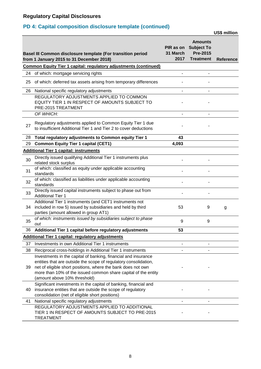## **PD 4: Capital composition disclosure template (continued)**

**US\$ million**

|    | Basel III Common disclosure template (For transition period<br>from 1 January 2015 to 31 December 2018)                                                         | PIR as on<br>31 March<br>2017 | <b>Amounts</b><br><b>Subject To</b><br><b>Pre-2015</b><br><b>Treatment</b> | Reference |
|----|-----------------------------------------------------------------------------------------------------------------------------------------------------------------|-------------------------------|----------------------------------------------------------------------------|-----------|
|    | <b>Common Equity Tier 1 capital: regulatory adjustments (continued)</b>                                                                                         |                               |                                                                            |           |
| 24 | of which: mortgage servicing rights                                                                                                                             | -                             |                                                                            |           |
| 25 | of which: deferred tax assets arising from temporary differences                                                                                                |                               |                                                                            |           |
| 26 | National specific regulatory adjustments                                                                                                                        | L,                            | $\blacksquare$                                                             |           |
|    | REGULATORY ADJUSTMENTS APPLIED TO COMMON<br>EQUITY TIER 1 IN RESPECT OF AMOUNTS SUBJECT TO<br>PRE-2015 TREATMENT                                                |                               |                                                                            |           |
|    | OF WHICH:                                                                                                                                                       |                               |                                                                            |           |
| 27 | Regulatory adjustments applied to Common Equity Tier 1 due<br>to insufficient Additional Tier 1 and Tier 2 to cover deductions                                  |                               |                                                                            |           |
| 28 | Total regulatory adjustments to Common equity Tier 1                                                                                                            | 43                            |                                                                            |           |
| 29 | <b>Common Equity Tier 1 capital (CET1)</b>                                                                                                                      | 4,093                         |                                                                            |           |
|    | <b>Additional Tier 1 capital: instruments</b>                                                                                                                   |                               |                                                                            |           |
| 30 | Directly issued qualifying Additional Tier 1 instruments plus<br>related stock surplus                                                                          |                               |                                                                            |           |
| 31 | of which: classified as equity under applicable accounting<br>standards                                                                                         |                               |                                                                            |           |
| 32 | of which: classified as liabilities under applicable accounting<br>standards                                                                                    |                               |                                                                            |           |
| 33 | Directly issued capital instruments subject to phase out from<br><b>Additional Tier 1</b>                                                                       |                               |                                                                            |           |
| 34 | Additional Tier 1 instruments (and CET1 instruments not<br>included in row 5) issued by subsidiaries and held by third<br>parties (amount allowed in group AT1) | 53                            | 9                                                                          | g         |
| 35 | of which: instruments issued by subsidiaries subject to phase<br>out                                                                                            | 9                             | 9                                                                          |           |
| 36 | Additional Tier 1 capital before regulatory adjustments                                                                                                         | 53                            |                                                                            |           |
|    | <b>Additional Tier 1 capital: regulatory adjustments</b>                                                                                                        |                               |                                                                            |           |
| 37 | Investments in own Additional Tier 1 instruments                                                                                                                |                               |                                                                            |           |
| 38 | Reciprocal cross-holdings in Additional Tier 1 instruments                                                                                                      |                               |                                                                            |           |
|    | Investments in the capital of banking, financial and insurance<br>entities that are outside the scope of regulatory consolidation,                              |                               |                                                                            |           |
| 39 | net of eligible short positions, where the bank does not own<br>more than 10% of the issued common share capital of the entity                                  |                               |                                                                            |           |
|    | (amount above 10% threshold)                                                                                                                                    |                               |                                                                            |           |
|    | Significant investments in the capital of banking, financial and                                                                                                |                               |                                                                            |           |
| 40 | insurance entities that are outside the scope of regulatory                                                                                                     |                               |                                                                            |           |
|    | consolidation (net of eligible short positions)                                                                                                                 |                               |                                                                            |           |
| 41 | National specific regulatory adjustments                                                                                                                        | ۰                             |                                                                            |           |
|    | REGULATORY ADJUSTMENTS APPLIED TO ADDITIONAL<br>TIER 1 IN RESPECT OF AMOUNTS SUBJECT TO PRE-2015<br><b>TREATMENT</b>                                            |                               |                                                                            |           |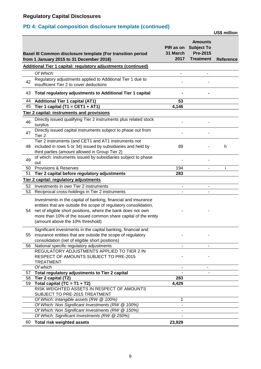## **PD 4: Capital composition disclosure template (continued)**

**US\$ million**

|    | Basel III Common disclosure template (For transition period<br>from 1 January 2015 to 31 December 2018)                                                                                                                                                                                                  | PIR as on<br>31 March<br>2017 | <b>Amounts</b><br><b>Subject To</b><br><b>Pre-2015</b><br><b>Treatment</b> | <b>Reference</b> |
|----|----------------------------------------------------------------------------------------------------------------------------------------------------------------------------------------------------------------------------------------------------------------------------------------------------------|-------------------------------|----------------------------------------------------------------------------|------------------|
|    | Additional Tier 1 capital: regulatory adjustments (continued)                                                                                                                                                                                                                                            |                               |                                                                            |                  |
|    | Of Which:                                                                                                                                                                                                                                                                                                |                               |                                                                            |                  |
| 42 | Regulatory adjustments applied to Additional Tier 1 due to<br>insufficient Tier 2 to cover deductions                                                                                                                                                                                                    |                               |                                                                            |                  |
| 43 | Total regulatory adjustments to Additional Tier 1 capital                                                                                                                                                                                                                                                |                               |                                                                            |                  |
| 44 | <b>Additional Tier 1 capital (AT1)</b>                                                                                                                                                                                                                                                                   | 53                            |                                                                            |                  |
| 45 | Tier 1 capital (T1 = CET1 + AT1)                                                                                                                                                                                                                                                                         | 4,146                         |                                                                            |                  |
|    | <b>Tier 2 capital: instruments and provisions</b>                                                                                                                                                                                                                                                        |                               |                                                                            |                  |
| 46 | Directly issued qualifying Tier 2 instruments plus related stock<br>surplus                                                                                                                                                                                                                              |                               |                                                                            |                  |
| 47 | Directly issued capital instruments subject to phase out from<br>Tier <sub>2</sub>                                                                                                                                                                                                                       |                               |                                                                            |                  |
| 48 | Tier 2 instruments (and CET1 and AT1 instruments not<br>included in rows 5 or 34) issued by subsidiaries and held by<br>third parties (amount allowed in Group Tier 2)                                                                                                                                   | 89                            |                                                                            | h                |
| 49 | of which: instruments issued by subsidiaries subject to phase<br>out                                                                                                                                                                                                                                     |                               |                                                                            |                  |
| 50 | Provisions & Reserves                                                                                                                                                                                                                                                                                    | 194                           |                                                                            | i                |
| 51 | Tier 2 capital before regulatory adjustments                                                                                                                                                                                                                                                             | 283                           |                                                                            |                  |
|    | <b>Tier 2 capital: regulatory adjustments</b>                                                                                                                                                                                                                                                            |                               |                                                                            |                  |
| 52 | Investments in own Tier 2 instruments                                                                                                                                                                                                                                                                    |                               |                                                                            |                  |
| 53 | Reciprocal cross-holdings in Tier 2 instruments                                                                                                                                                                                                                                                          |                               |                                                                            |                  |
| 54 | Investments in the capital of banking, financial and insurance<br>entities that are outside the scope of regulatory consolidation,<br>net of eligible short positions, where the bank does not own<br>more than 10% of the issued common share capital of the entity<br>(amount above the 10% threshold) |                               |                                                                            |                  |
| 55 | Significant investments in the capital banking, financial and<br>insurance entities that are outside the scope of regulatory<br>consolidation (net of eligible short positions)                                                                                                                          |                               |                                                                            |                  |
| 56 | National specific regulatory adjustments<br>REGULATORY ADJUSTMENTS APPLIED TO TIER 2 IN<br>RESPECT OF AMOUNTS SUBJECT TO PRE-2015<br><b>TREATMENT</b>                                                                                                                                                    | $\blacksquare$                |                                                                            |                  |
|    | Of which                                                                                                                                                                                                                                                                                                 |                               |                                                                            |                  |
| 57 | Total regulatory adjustments to Tier 2 capital                                                                                                                                                                                                                                                           |                               |                                                                            |                  |
| 58 | Tier 2 capital (T2)                                                                                                                                                                                                                                                                                      | 283                           |                                                                            |                  |
| 59 | Total capital (TC = $T1 + T2$ )<br>RISK WEIGHTED ASSETS IN RESPECT OF AMOUNTS                                                                                                                                                                                                                            | 4,429                         |                                                                            |                  |
|    | SUBJECT TO PRE-2015 TREATMENT                                                                                                                                                                                                                                                                            |                               |                                                                            |                  |
|    | Of Which: Intangible assets (RW @ 100%)<br>Of Which: Non Significant Investments (RW @ 100%)                                                                                                                                                                                                             | 1                             |                                                                            |                  |
|    | Of Which: Non Significant Investments (RW @ 150%)                                                                                                                                                                                                                                                        |                               |                                                                            |                  |
|    | Of Which: Significant Investments (RW @ 250%)                                                                                                                                                                                                                                                            |                               |                                                                            |                  |
| 60 | <b>Total risk weighted assets</b>                                                                                                                                                                                                                                                                        | 23,929                        |                                                                            |                  |